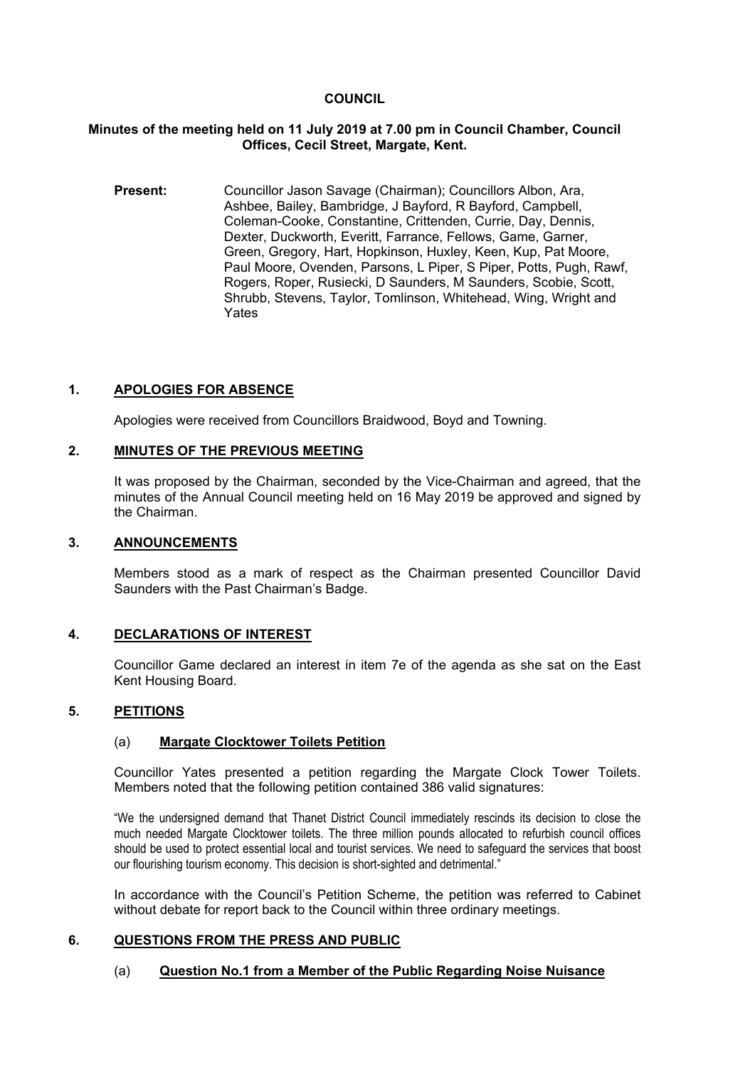### **COUNCIL**

#### **Minutes of the meeting held on 11 July 2019 at 7.00 pm in Council Chamber, Council Offices, Cecil Street, Margate, Kent.**

**Present:** Councillor Jason Savage (Chairman); Councillors Albon, Ara, Ashbee, Bailey, Bambridge, J Bayford, R Bayford, Campbell, Coleman-Cooke, Constantine, Crittenden, Currie, Day, Dennis, Dexter, Duckworth, Everitt, Farrance, Fellows, Game, Garner, Green, Gregory, Hart, Hopkinson, Huxley, Keen, Kup, Pat Moore, Paul Moore, Ovenden, Parsons, L Piper, S Piper, Potts, Pugh, Rawf, Rogers, Roper, Rusiecki, D Saunders, M Saunders, Scobie, Scott, Shrubb, Stevens, Taylor, Tomlinson, Whitehead, Wing, Wright and Yates

# **1. APOLOGIES FOR ABSENCE**

Apologies were received from Councillors Braidwood, Boyd and Towning.

#### **2. MINUTES OF THE PREVIOUS MEETING**

It was proposed by the Chairman, seconded by the Vice-Chairman and agreed, that the minutes of the Annual Council meeting held on 16 May 2019 be approved and signed by the Chairman.

#### **3. ANNOUNCEMENTS**

Members stood as a mark of respect as the Chairman presented Councillor David Saunders with the Past Chairman's Badge.

#### **4. DECLARATIONS OF INTEREST**

Councillor Game declared an interest in item 7e of the agenda as she sat on the East Kent Housing Board.

#### **5. PETITIONS**

#### (a) **Margate Clocktower Toilets Petition**

Councillor Yates presented a petition regarding the Margate Clock Tower Toilets. Members noted that the following petition contained 386 valid signatures:

"We the undersigned demand that Thanet District Council immediately rescinds its decision to close the much needed Margate Clocktower toilets. The three million pounds allocated to refurbish council offices should be used to protect essential local and tourist services. We need to safeguard the services that boost our flourishing tourism economy. This decision is short-sighted and detrimental."

In accordance with the Council's Petition Scheme, the petition was referred to Cabinet without debate for report back to the Council within three ordinary meetings.

### **6. QUESTIONS FROM THE PRESS AND PUBLIC**

#### (a) **Question No.1 from a Member of the Public Regarding Noise Nuisance**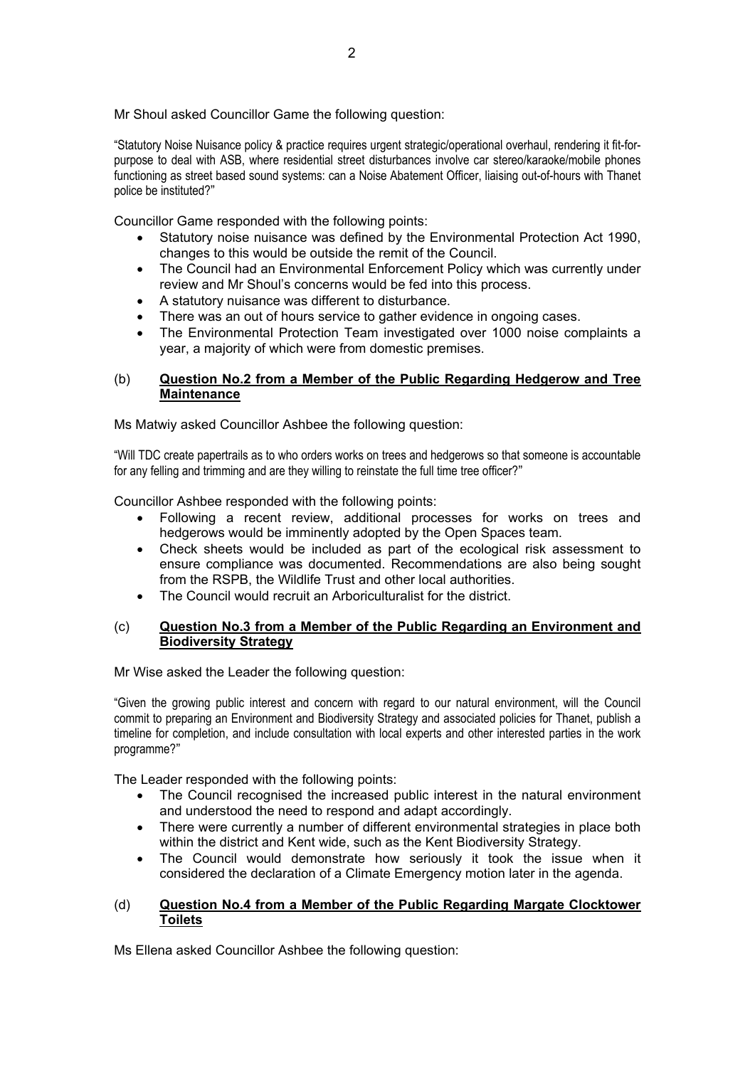Mr Shoul asked Councillor Game the following question:

"Statutory Noise Nuisance policy & practice requires urgent strategic/operational overhaul, rendering it fit-forpurpose to deal with ASB, where residential street disturbances involve car stereo/karaoke/mobile phones functioning as street based sound systems: can a Noise Abatement Officer, liaising out-of-hours with Thanet police be instituted?"

Councillor Game responded with the following points:

- Statutory noise nuisance was defined by the Environmental Protection Act 1990, changes to this would be outside the remit of the Council.
- The Council had an Environmental Enforcement Policy which was currently under review and Mr Shoul's concerns would be fed into this process.
- A statutory nuisance was different to disturbance.
- There was an out of hours service to gather evidence in ongoing cases.
- The Environmental Protection Team investigated over 1000 noise complaints a year, a majority of which were from domestic premises.

## (b) **Question No.2 from a Member of the Public Regarding Hedgerow and Tree Maintenance**

Ms Matwiy asked Councillor Ashbee the following question:

"Will TDC create papertrails as to who orders works on trees and hedgerows so that someone is accountable for any felling and trimming and are they willing to reinstate the full time tree officer?"

Councillor Ashbee responded with the following points:

- Following a recent review, additional processes for works on trees and hedgerows would be imminently adopted by the Open Spaces team.
- Check sheets would be included as part of the ecological risk assessment to ensure compliance was documented. Recommendations are also being sought from the RSPB, the Wildlife Trust and other local authorities.
- The Council would recruit an Arboriculturalist for the district.

### (c) **Question No.3 from a Member of the Public Regarding an Environment and Biodiversity Strategy**

Mr Wise asked the Leader the following question:

"Given the growing public interest and concern with regard to our natural environment, will the Council commit to preparing an Environment and Biodiversity Strategy and associated policies for Thanet, publish a timeline for completion, and include consultation with local experts and other interested parties in the work programme?"

The Leader responded with the following points:

- The Council recognised the increased public interest in the natural environment and understood the need to respond and adapt accordingly.
- There were currently a number of different environmental strategies in place both within the district and Kent wide, such as the Kent Biodiversity Strategy.
- The Council would demonstrate how seriously it took the issue when it considered the declaration of a Climate Emergency motion later in the agenda.

### (d) **Question No.4 from a Member of the Public Regarding Margate Clocktower Toilets**

Ms Ellena asked Councillor Ashbee the following question: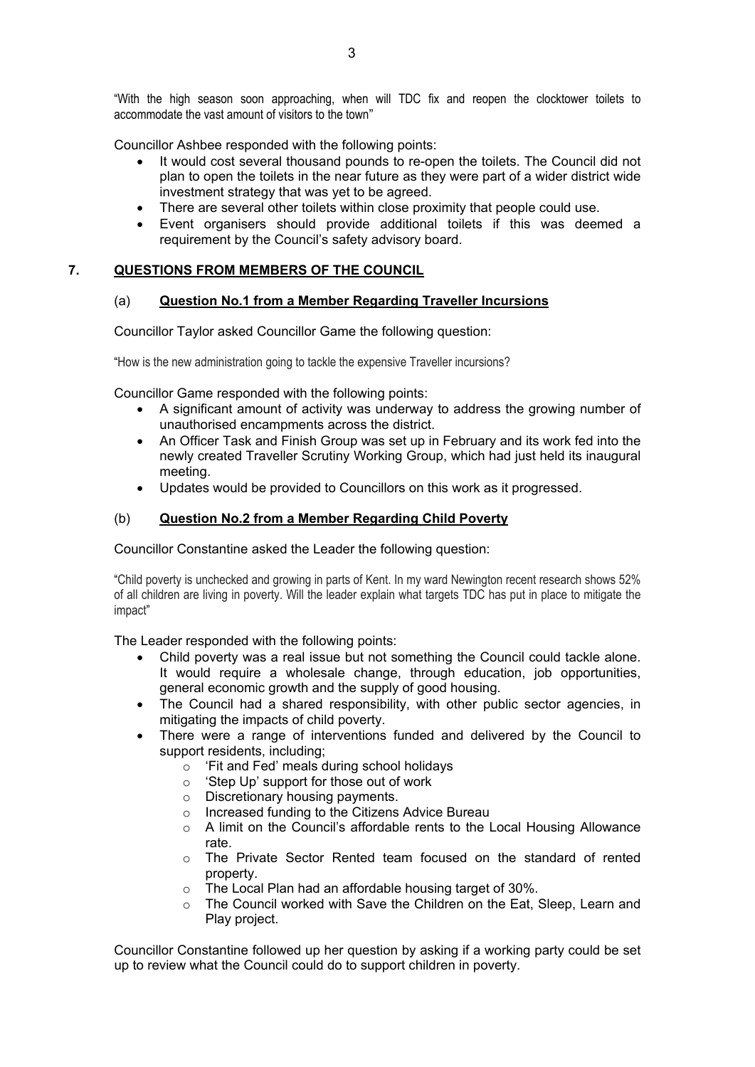"With the high season soon approaching, when will TDC fix and reopen the clocktower toilets to accommodate the vast amount of visitors to the town"

Councillor Ashbee responded with the following points:

- It would cost several thousand pounds to re-open the toilets. The Council did not plan to open the toilets in the near future as they were part of a wider district wide investment strategy that was yet to be agreed.
- There are several other toilets within close proximity that people could use.
- Event organisers should provide additional toilets if this was deemed a requirement by the Council's safety advisory board.

### **7. QUESTIONS FROM MEMBERS OF THE COUNCIL**

### (a) **Question No.1 from a Member Regarding Traveller Incursions**

Councillor Taylor asked Councillor Game the following question:

"How is the new administration going to tackle the expensive Traveller incursions?

Councillor Game responded with the following points:

- A significant amount of activity was underway to address the growing number of unauthorised encampments across the district.
- An Officer Task and Finish Group was set up in February and its work fed into the newly created Traveller Scrutiny Working Group, which had just held its inaugural meeting.
- Updates would be provided to Councillors on this work as it progressed.

### (b) **Question No.2 from a Member Regarding Child Poverty**

Councillor Constantine asked the Leader the following question:

"Child poverty is unchecked and growing in parts of Kent. In my ward Newington recent research shows 52% of all children are living in poverty. Will the leader explain what targets TDC has put in place to mitigate the impact"

The Leader responded with the following points:

- Child poverty was a real issue but not something the Council could tackle alone. It would require a wholesale change, through education, job opportunities, general economic growth and the supply of good housing.
- The Council had a shared responsibility, with other public sector agencies, in mitigating the impacts of child poverty.
- There were a range of interventions funded and delivered by the Council to support residents, including;
	- o 'Fit and Fed' meals during school holidays
	- o 'Step Up' support for those out of work
	- o Discretionary housing payments.
	- o Increased funding to the Citizens Advice Bureau
	- o A limit on the Council's affordable rents to the Local Housing Allowance rate.
	- o The Private Sector Rented team focused on the standard of rented property.
	- o The Local Plan had an affordable housing target of 30%.
	- o The Council worked with Save the Children on the Eat, Sleep, Learn and Play project.

Councillor Constantine followed up her question by asking if a working party could be set up to review what the Council could do to support children in poverty.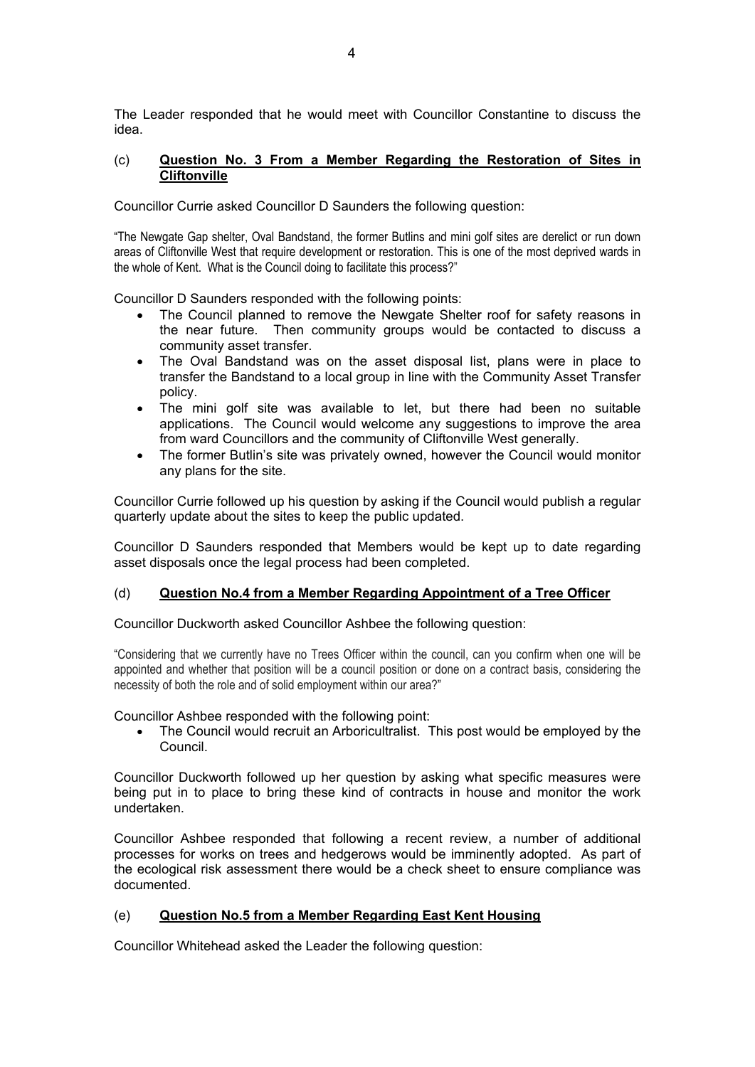The Leader responded that he would meet with Councillor Constantine to discuss the idea.

### (c) **Question No. 3 From a Member Regarding the Restoration of Sites in Cliftonville**

Councillor Currie asked Councillor D Saunders the following question:

"The Newgate Gap shelter, Oval Bandstand, the former Butlins and mini golf sites are derelict or run down areas of Cliftonville West that require development or restoration. This is one of the most deprived wards in the whole of Kent. What is the Council doing to facilitate this process?"

Councillor D Saunders responded with the following points:

- The Council planned to remove the Newgate Shelter roof for safety reasons in the near future. Then community groups would be contacted to discuss a community asset transfer.
- The Oval Bandstand was on the asset disposal list, plans were in place to transfer the Bandstand to a local group in line with the Community Asset Transfer policy.
- The mini golf site was available to let, but there had been no suitable applications. The Council would welcome any suggestions to improve the area from ward Councillors and the community of Cliftonville West generally.
- The former Butlin's site was privately owned, however the Council would monitor any plans for the site.

Councillor Currie followed up his question by asking if the Council would publish a regular quarterly update about the sites to keep the public updated.

Councillor D Saunders responded that Members would be kept up to date regarding asset disposals once the legal process had been completed.

### (d) **Question No.4 from a Member Regarding Appointment of a Tree Officer**

Councillor Duckworth asked Councillor Ashbee the following question:

"Considering that we currently have no Trees Officer within the council, can you confirm when one will be appointed and whether that position will be a council position or done on a contract basis, considering the necessity of both the role and of solid employment within our area?"

Councillor Ashbee responded with the following point:

 The Council would recruit an Arboricultralist. This post would be employed by the Council.

Councillor Duckworth followed up her question by asking what specific measures were being put in to place to bring these kind of contracts in house and monitor the work undertaken.

Councillor Ashbee responded that following a recent review, a number of additional processes for works on trees and hedgerows would be imminently adopted. As part of the ecological risk assessment there would be a check sheet to ensure compliance was documented.

### (e) **Question No.5 from a Member Regarding East Kent Housing**

Councillor Whitehead asked the Leader the following question: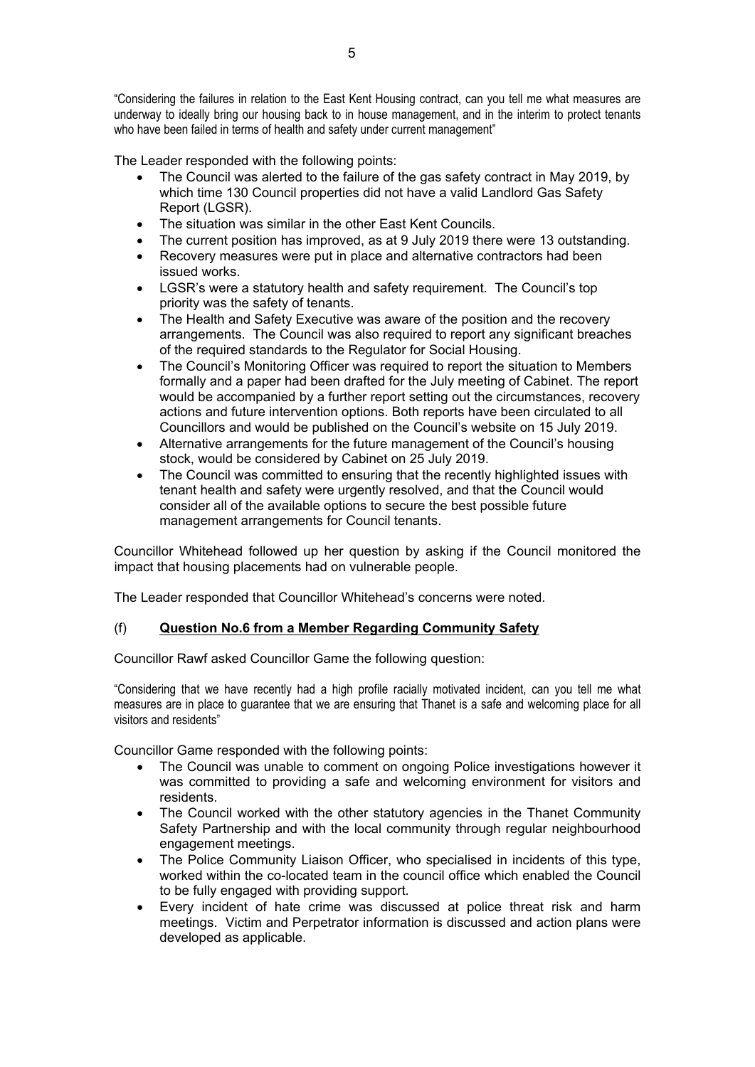"Considering the failures in relation to the East Kent Housing contract, can you tell me what measures are underway to ideally bring our housing back to in house management, and in the interim to protect tenants who have been failed in terms of health and safety under current management"

The Leader responded with the following points:

- The Council was alerted to the failure of the gas safety contract in May 2019, by which time 130 Council properties did not have a valid Landlord Gas Safety Report (LGSR).
- The situation was similar in the other East Kent Councils.
- The current position has improved, as at 9 July 2019 there were 13 outstanding.
- Recovery measures were put in place and alternative contractors had been issued works.
- LGSR's were a statutory health and safety requirement. The Council's top priority was the safety of tenants.
- The Health and Safety Executive was aware of the position and the recovery arrangements. The Council was also required to report any significant breaches of the required standards to the Regulator for Social Housing.
- The Council's Monitoring Officer was required to report the situation to Members formally and a paper had been drafted for the July meeting of Cabinet. The report would be accompanied by a further report setting out the circumstances, recovery actions and future intervention options. Both reports have been circulated to all Councillors and would be published on the Council's website on 15 July 2019.
- Alternative arrangements for the future management of the Council's housing stock, would be considered by Cabinet on 25 July 2019.
- The Council was committed to ensuring that the recently highlighted issues with tenant health and safety were urgently resolved, and that the Council would consider all of the available options to secure the best possible future management arrangements for Council tenants.

Councillor Whitehead followed up her question by asking if the Council monitored the impact that housing placements had on vulnerable people.

The Leader responded that Councillor Whitehead's concerns were noted.

### (f) **Question No.6 from a Member Regarding Community Safety**

Councillor Rawf asked Councillor Game the following question:

"Considering that we have recently had a high profile racially motivated incident, can you tell me what measures are in place to guarantee that we are ensuring that Thanet is a safe and welcoming place for all visitors and residents"

Councillor Game responded with the following points:

- The Council was unable to comment on ongoing Police investigations however it was committed to providing a safe and welcoming environment for visitors and residents.
- The Council worked with the other statutory agencies in the Thanet Community Safety Partnership and with the local community through regular neighbourhood engagement meetings.
- The Police Community Liaison Officer, who specialised in incidents of this type, worked within the co-located team in the council office which enabled the Council to be fully engaged with providing support.
- Every incident of hate crime was discussed at police threat risk and harm meetings. Victim and Perpetrator information is discussed and action plans were developed as applicable.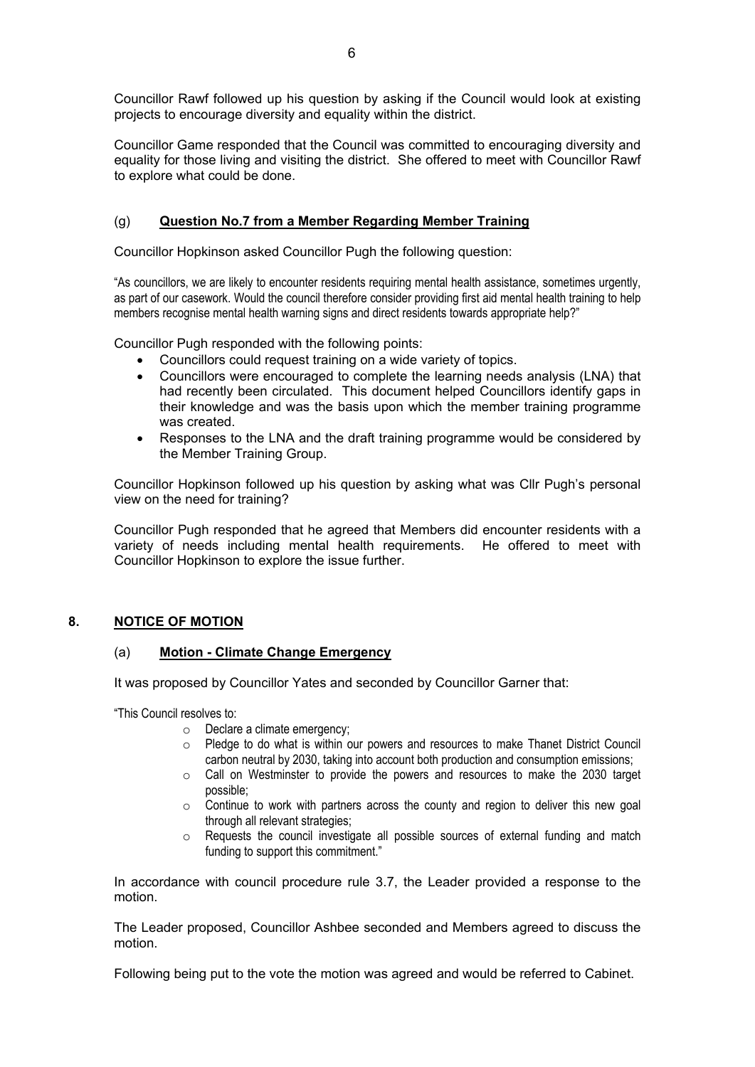Councillor Rawf followed up his question by asking if the Council would look at existing projects to encourage diversity and equality within the district.

Councillor Game responded that the Council was committed to encouraging diversity and equality for those living and visiting the district. She offered to meet with Councillor Rawf to explore what could be done.

# (g) **Question No.7 from a Member Regarding Member Training**

Councillor Hopkinson asked Councillor Pugh the following question:

"As councillors, we are likely to encounter residents requiring mental health assistance, sometimes urgently, as part of our casework. Would the council therefore consider providing first aid mental health training to help members recognise mental health warning signs and direct residents towards appropriate help?"

Councillor Pugh responded with the following points:

- Councillors could request training on a wide variety of topics.
- Councillors were encouraged to complete the learning needs analysis (LNA) that had recently been circulated. This document helped Councillors identify gaps in their knowledge and was the basis upon which the member training programme was created.
- Responses to the LNA and the draft training programme would be considered by the Member Training Group.

Councillor Hopkinson followed up his question by asking what was Cllr Pugh's personal view on the need for training?

Councillor Pugh responded that he agreed that Members did encounter residents with a variety of needs including mental health requirements. He offered to meet with Councillor Hopkinson to explore the issue further.

### **8. NOTICE OF MOTION**

### (a) **Motion - Climate Change Emergency**

It was proposed by Councillor Yates and seconded by Councillor Garner that:

"This Council resolves to:

- o Declare a climate emergency;
- $\circ$  Pledge to do what is within our powers and resources to make Thanet District Council carbon neutral by 2030, taking into account both production and consumption emissions;
- $\circ$  Call on Westminster to provide the powers and resources to make the 2030 target possible;
- $\circ$  Continue to work with partners across the county and region to deliver this new goal through all relevant strategies;
- o Requests the council investigate all possible sources of external funding and match funding to support this commitment."

In accordance with council procedure rule 3.7, the Leader provided a response to the motion.

The Leader proposed, Councillor Ashbee seconded and Members agreed to discuss the motion.

Following being put to the vote the motion was agreed and would be referred to Cabinet.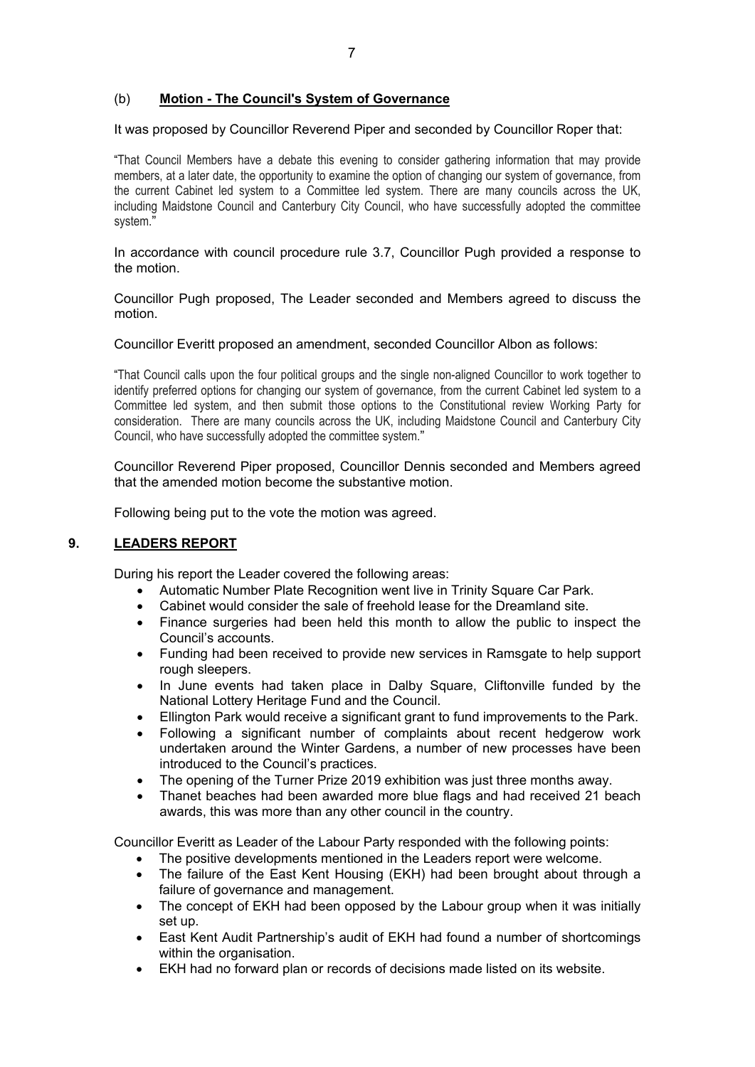# (b) **Motion - The Council's System of Governance**

It was proposed by Councillor Reverend Piper and seconded by Councillor Roper that:

"That Council Members have a debate this evening to consider gathering information that may provide members, at a later date, the opportunity to examine the option of changing our system of governance, from the current Cabinet led system to a Committee led system. There are many councils across the UK, including Maidstone Council and Canterbury City Council, who have successfully adopted the committee system."

In accordance with council procedure rule 3.7, Councillor Pugh provided a response to the motion.

Councillor Pugh proposed, The Leader seconded and Members agreed to discuss the motion.

#### Councillor Everitt proposed an amendment, seconded Councillor Albon as follows:

"That Council calls upon the four political groups and the single non-aligned Councillor to work together to identify preferred options for changing our system of governance, from the current Cabinet led system to a Committee led system, and then submit those options to the Constitutional review Working Party for consideration. There are many councils across the UK, including Maidstone Council and Canterbury City Council, who have successfully adopted the committee system."

Councillor Reverend Piper proposed, Councillor Dennis seconded and Members agreed that the amended motion become the substantive motion.

Following being put to the vote the motion was agreed.

### **9. LEADERS REPORT**

During his report the Leader covered the following areas:

- Automatic Number Plate Recognition went live in Trinity Square Car Park.
- Cabinet would consider the sale of freehold lease for the Dreamland site.
- Finance surgeries had been held this month to allow the public to inspect the Council's accounts.
- Funding had been received to provide new services in Ramsgate to help support rough sleepers.
- In June events had taken place in Dalby Square, Cliftonville funded by the National Lottery Heritage Fund and the Council.
- Ellington Park would receive a significant grant to fund improvements to the Park.
- Following a significant number of complaints about recent hedgerow work undertaken around the Winter Gardens, a number of new processes have been introduced to the Council's practices.
- The opening of the Turner Prize 2019 exhibition was just three months away.
- Thanet beaches had been awarded more blue flags and had received 21 beach awards, this was more than any other council in the country.

Councillor Everitt as Leader of the Labour Party responded with the following points:

- The positive developments mentioned in the Leaders report were welcome.
- The failure of the East Kent Housing (EKH) had been brought about through a failure of governance and management.
- The concept of EKH had been opposed by the Labour group when it was initially set up.
- East Kent Audit Partnership's audit of EKH had found a number of shortcomings within the organisation.
- EKH had no forward plan or records of decisions made listed on its website.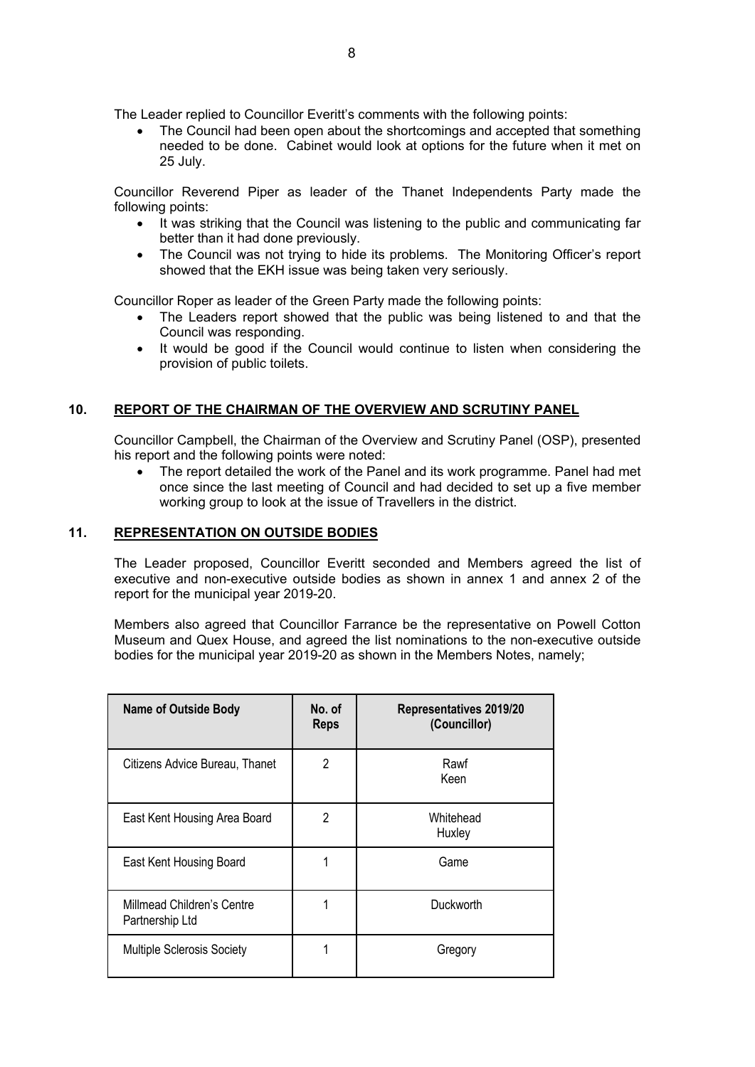The Leader replied to Councillor Everitt's comments with the following points:

 The Council had been open about the shortcomings and accepted that something needed to be done. Cabinet would look at options for the future when it met on 25 July.

Councillor Reverend Piper as leader of the Thanet Independents Party made the following points:

- It was striking that the Council was listening to the public and communicating far better than it had done previously.
- The Council was not trying to hide its problems. The Monitoring Officer's report showed that the EKH issue was being taken very seriously.

Councillor Roper as leader of the Green Party made the following points:

- The Leaders report showed that the public was being listened to and that the Council was responding.
- It would be good if the Council would continue to listen when considering the provision of public toilets.

# **10. REPORT OF THE CHAIRMAN OF THE OVERVIEW AND SCRUTINY PANEL**

Councillor Campbell, the Chairman of the Overview and Scrutiny Panel (OSP), presented his report and the following points were noted:

 The report detailed the work of the Panel and its work programme. Panel had met once since the last meeting of Council and had decided to set up a five member working group to look at the issue of Travellers in the district.

### **11. REPRESENTATION ON OUTSIDE BODIES**

The Leader proposed, Councillor Everitt seconded and Members agreed the list of executive and non-executive outside bodies as shown in annex 1 and annex 2 of the report for the municipal year 2019-20.

Members also agreed that Councillor Farrance be the representative on Powell Cotton Museum and Quex House, and agreed the list nominations to the non-executive outside bodies for the municipal year 2019-20 as shown in the Members Notes, namely;

| <b>Name of Outside Body</b>                   | No. of<br><b>Reps</b> | Representatives 2019/20<br>(Councillor) |
|-----------------------------------------------|-----------------------|-----------------------------------------|
| Citizens Advice Bureau, Thanet                | 2                     | Rawf<br>Keen                            |
| East Kent Housing Area Board                  | 2                     | Whitehead<br>Huxley                     |
| East Kent Housing Board                       |                       | Game                                    |
| Millmead Children's Centre<br>Partnership Ltd | 1                     | Duckworth                               |
| <b>Multiple Sclerosis Society</b>             | 1                     | Gregory                                 |